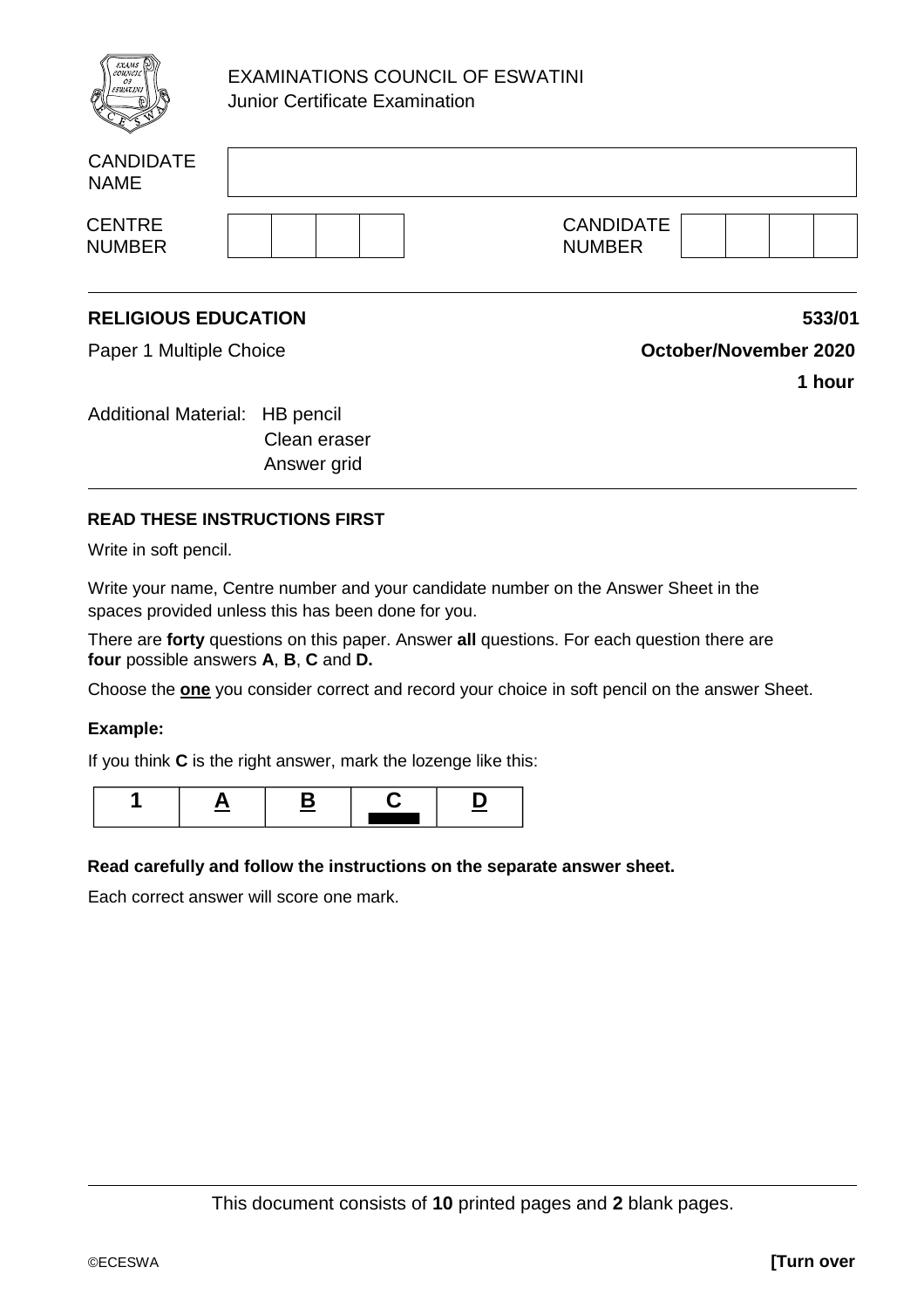

# EXAMINATIONS COUNCIL OF ESWATINI Junior Certificate Examination

| <b>CANDIDATE</b><br><b>NAME</b> |                             |                                   |
|---------------------------------|-----------------------------|-----------------------------------|
| <b>CENTRE</b><br><b>NUMBER</b>  |                             | <b>CANDIDATE</b><br><b>NUMBER</b> |
| <b>RELIGIOUS EDUCATION</b>      |                             | 533/01                            |
| Paper 1 Multiple Choice         |                             | October/November 2020             |
|                                 |                             | 1 hour                            |
| Additional Material: HB pencil  | Clean eraser<br>Answer grid |                                   |

### **READ THESE INSTRUCTIONS FIRST**

Write in soft pencil.

Write your name, Centre number and your candidate number on the Answer Sheet in the spaces provided unless this has been done for you.

There are **forty** questions on this paper. Answer **all** questions. For each question there are **four** possible answers **A**, **B**, **C** and **D.**

Choose the **one** you consider correct and record your choice in soft pencil on the answer Sheet.

#### **Example:**

If you think **C** is the right answer, mark the lozenge like this:



#### **Read carefully and follow the instructions on the separate answer sheet.**

Each correct answer will score one mark.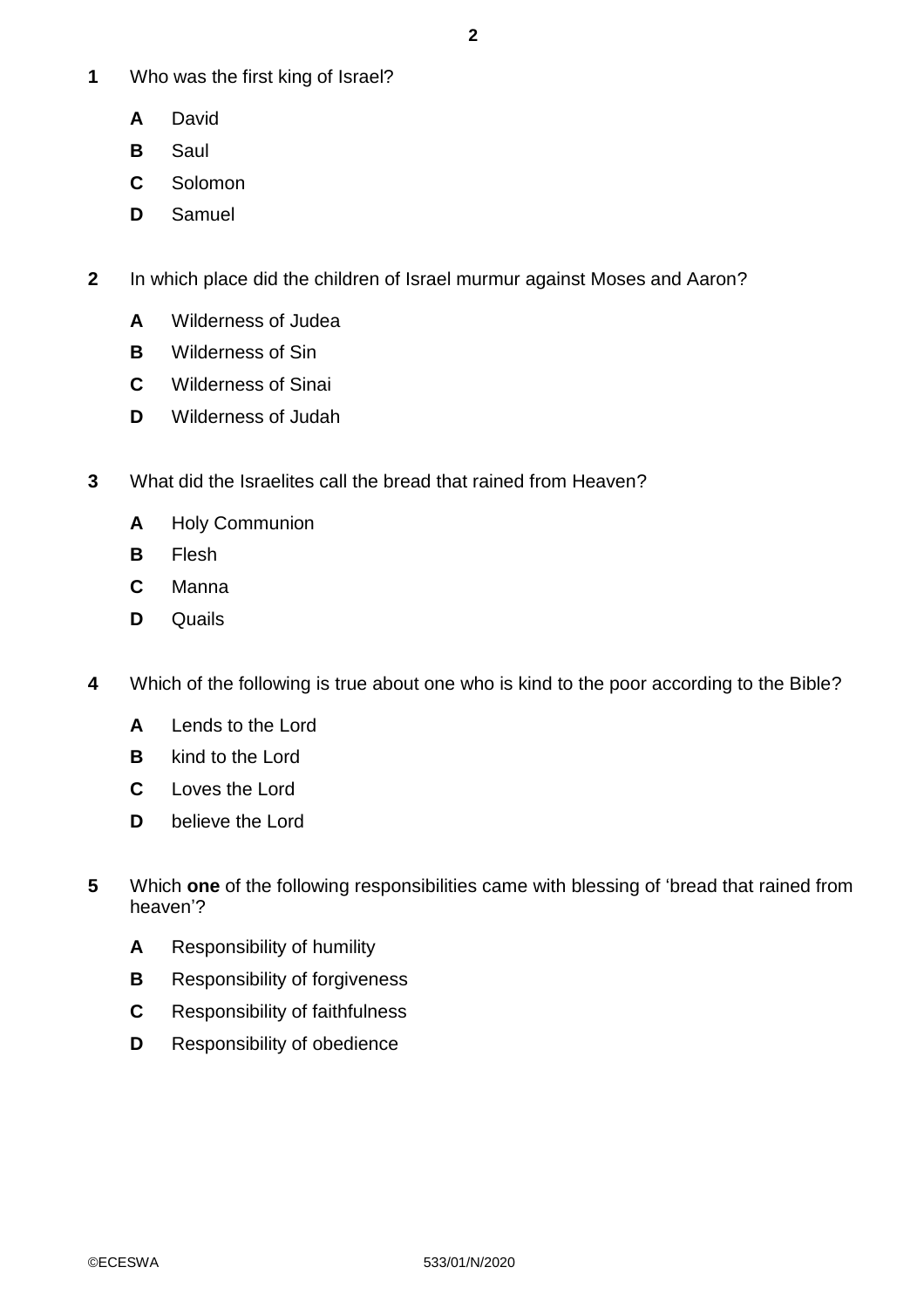- **1** Who was the first king of Israel?
	- **A** David
	- **B** Saul
	- **C** Solomon
	- **D** Samuel
- **2** In which place did the children of Israel murmur against Moses and Aaron?
	- **A** Wilderness of Judea
	- **B** Wilderness of Sin
	- **C** Wilderness of Sinai
	- **D** Wilderness of Judah
- **3** What did the Israelites call the bread that rained from Heaven?
	- **A** Holy Communion
	- **B** Flesh
	- **C** Manna
	- **D** Quails
- **4** Which of the following is true about one who is kind to the poor according to the Bible?
	- **A** Lends to the Lord
	- **B** kind to the Lord
	- **C** Loves the Lord
	- **D** believe the Lord
- **5** Which **one** of the following responsibilities came with blessing of 'bread that rained from heaven'?
	- **A** Responsibility of humility
	- **B** Responsibility of forgiveness
	- **C** Responsibility of faithfulness
	- **D** Responsibility of obedience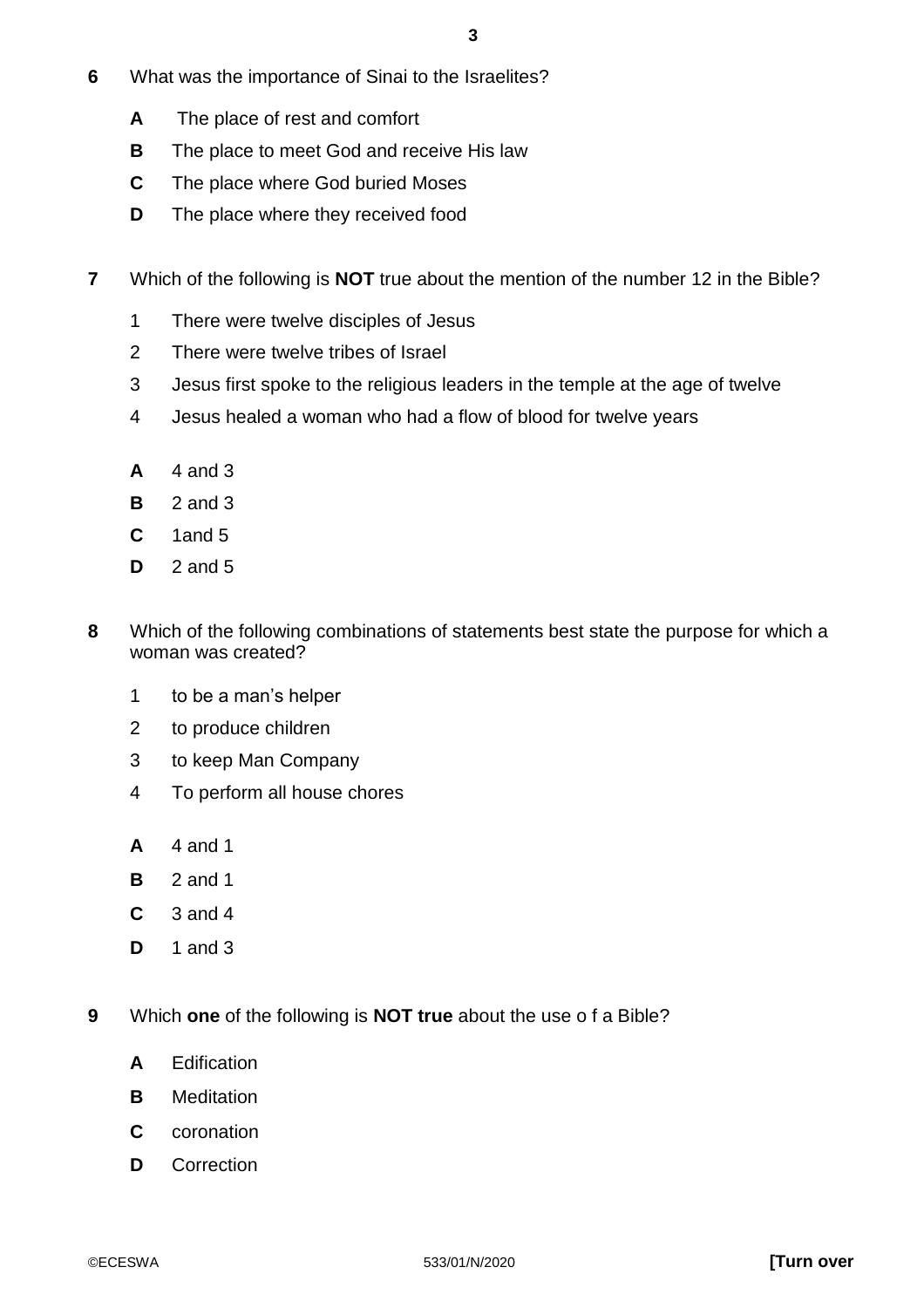- **6** What was the importance of Sinai to the Israelites?
	- **A** The place of rest and comfort
	- **B** The place to meet God and receive His law
	- **C** The place where God buried Moses
	- **D** The place where they received food
- **7** Which of the following is **NOT** true about the mention of the number 12 in the Bible?
	- 1 There were twelve disciples of Jesus
	- 2 There were twelve tribes of Israel
	- 3 Jesus first spoke to the religious leaders in the temple at the age of twelve
	- 4 Jesus healed a woman who had a flow of blood for twelve years
	- **A** 4 and 3
	- **B** 2 and 3
	- **C** 1and 5
	- **D** 2 and 5
- **8** Which of the following combinations of statements best state the purpose for which a woman was created?
	- 1 to be a man's helper
	- 2 to produce children
	- 3 to keep Man Company
	- 4 To perform all house chores
	- **A** 4 and 1
	- **B** 2 and 1
	- **C** 3 and 4
	- **D** 1 and 3
- **9** Which **one** of the following is **NOT true** about the use o f a Bible?
	- **A** Edification
	- **B** Meditation
	- **C** coronation
	- **D** Correction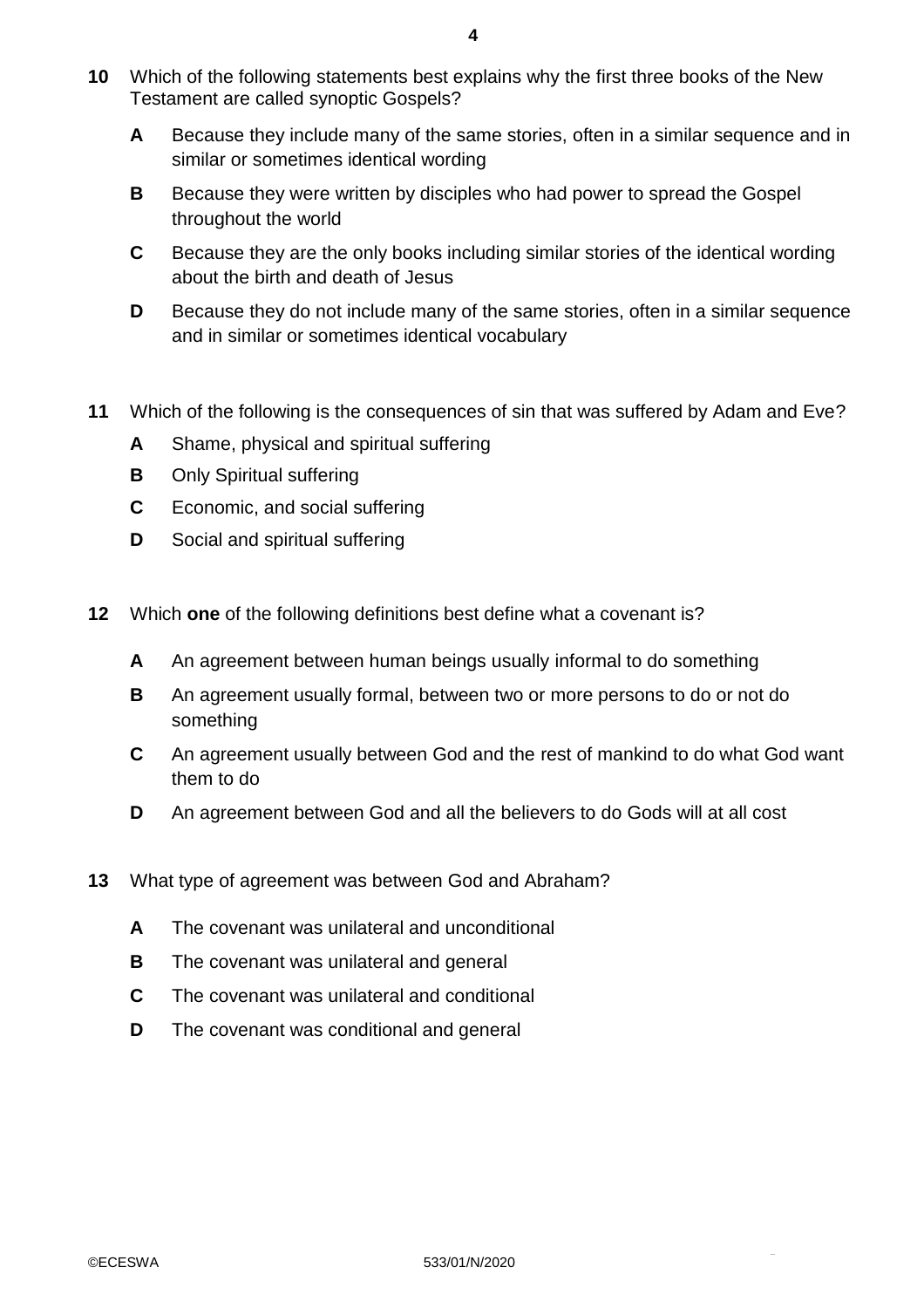- **10** Which of the following statements best explains why the first three books of the New Testament are called synoptic Gospels?
	- **A** Because they include many of the same stories, often in a similar sequence and in similar or sometimes identical wording
	- **B** Because they were written by disciples who had power to spread the Gospel throughout the world
	- **C** Because they are the only books including similar stories of the identical wording about the birth and death of Jesus
	- **D** Because they do not include many of the same stories, often in a similar sequence and in similar or sometimes identical vocabulary
- **11** Which of the following is the consequences of sin that was suffered by Adam and Eve?
	- **A** Shame, physical and spiritual suffering
	- **B** Only Spiritual suffering
	- **C** Economic, and social suffering
	- **D** Social and spiritual suffering
- **12** Which **one** of the following definitions best define what a covenant is?
	- **A** An agreement between human beings usually informal to do something
	- **B** An agreement usually formal, between two or more persons to do or not do something
	- **C** An agreement usually between God and the rest of mankind to do what God want them to do
	- **D** An agreement between God and all the believers to do Gods will at all cost
- **13** What type of agreement was between God and Abraham?
	- **A** The covenant was unilateral and unconditional
	- **B** The covenant was unilateral and general
	- **C** The covenant was unilateral and conditional
	- **D** The covenant was conditional and general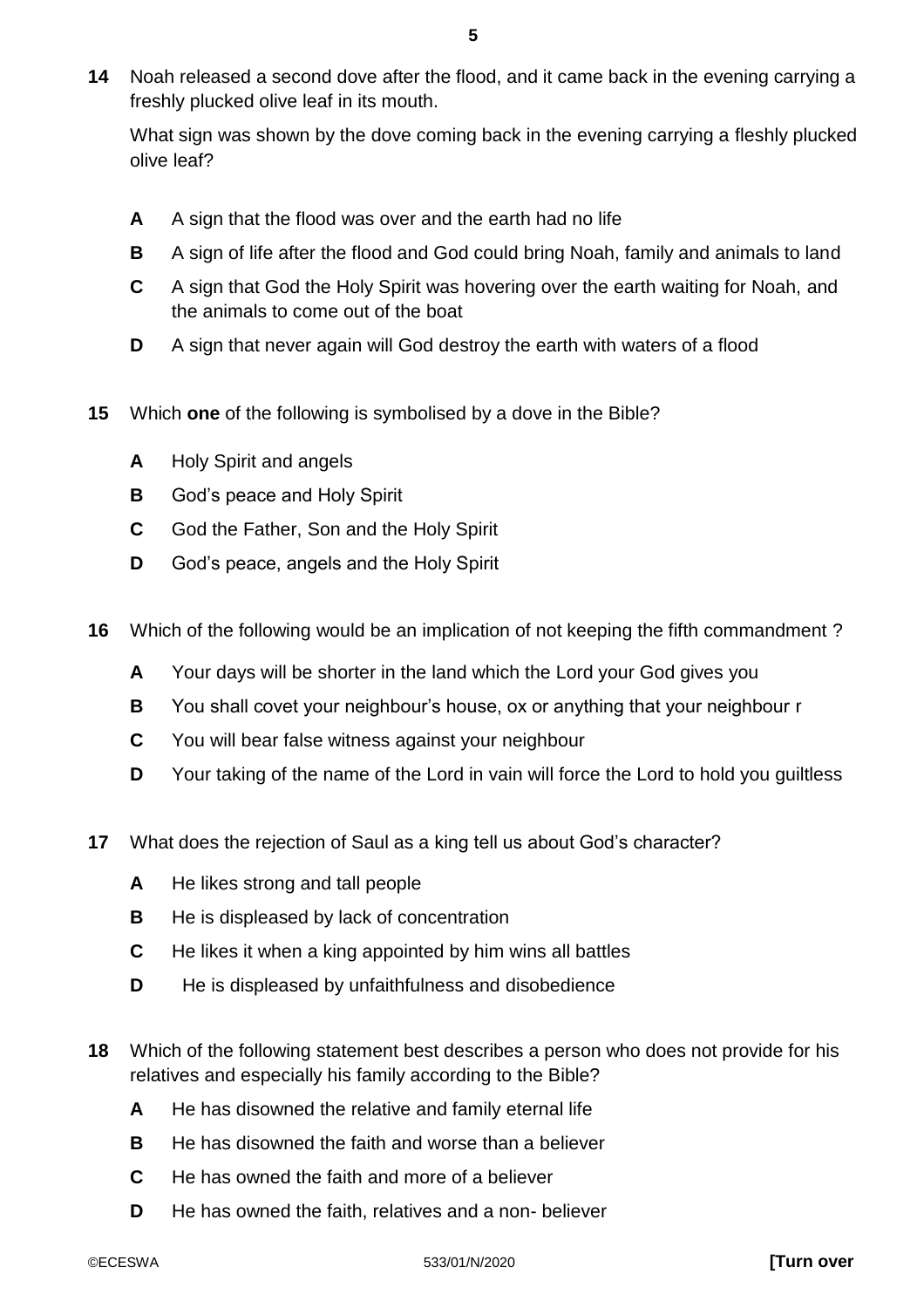**14** Noah released a second dove after the flood, and it came back in the evening carrying a freshly plucked olive leaf in its mouth.

What sign was shown by the dove coming back in the evening carrying a fleshly plucked olive leaf?

- **A** A sign that the flood was over and the earth had no life
- **B** A sign of life after the flood and God could bring Noah, family and animals to land
- **C** A sign that God the Holy Spirit was hovering over the earth waiting for Noah, and the animals to come out of the boat
- **D** A sign that never again will God destroy the earth with waters of a flood
- **15** Which **one** of the following is symbolised by a dove in the Bible?
	- **A** Holy Spirit and angels
	- **B** God's peace and Holy Spirit
	- **C** God the Father, Son and the Holy Spirit
	- **D** God's peace, angels and the Holy Spirit
- **16** Which of the following would be an implication of not keeping the fifth commandment ?
	- **A** Your days will be shorter in the land which the Lord your God gives you
	- **B** You shall covet your neighbour's house, ox or anything that your neighbour r
	- **C** You will bear false witness against your neighbour
	- **D** Your taking of the name of the Lord in vain will force the Lord to hold you guiltless
- **17** What does the rejection of Saul as a king tell us about God's character?
	- **A** He likes strong and tall people
	- **B** He is displeased by lack of concentration
	- **C** He likes it when a king appointed by him wins all battles
	- **D** He is displeased by unfaithfulness and disobedience
- **18** Which of the following statement best describes a person who does not provide for his relatives and especially his family according to the Bible?
	- **A** He has disowned the relative and family eternal life
	- **B** He has disowned the faith and worse than a believer
	- **C** He has owned the faith and more of a believer
	- **D** He has owned the faith, relatives and a non- believer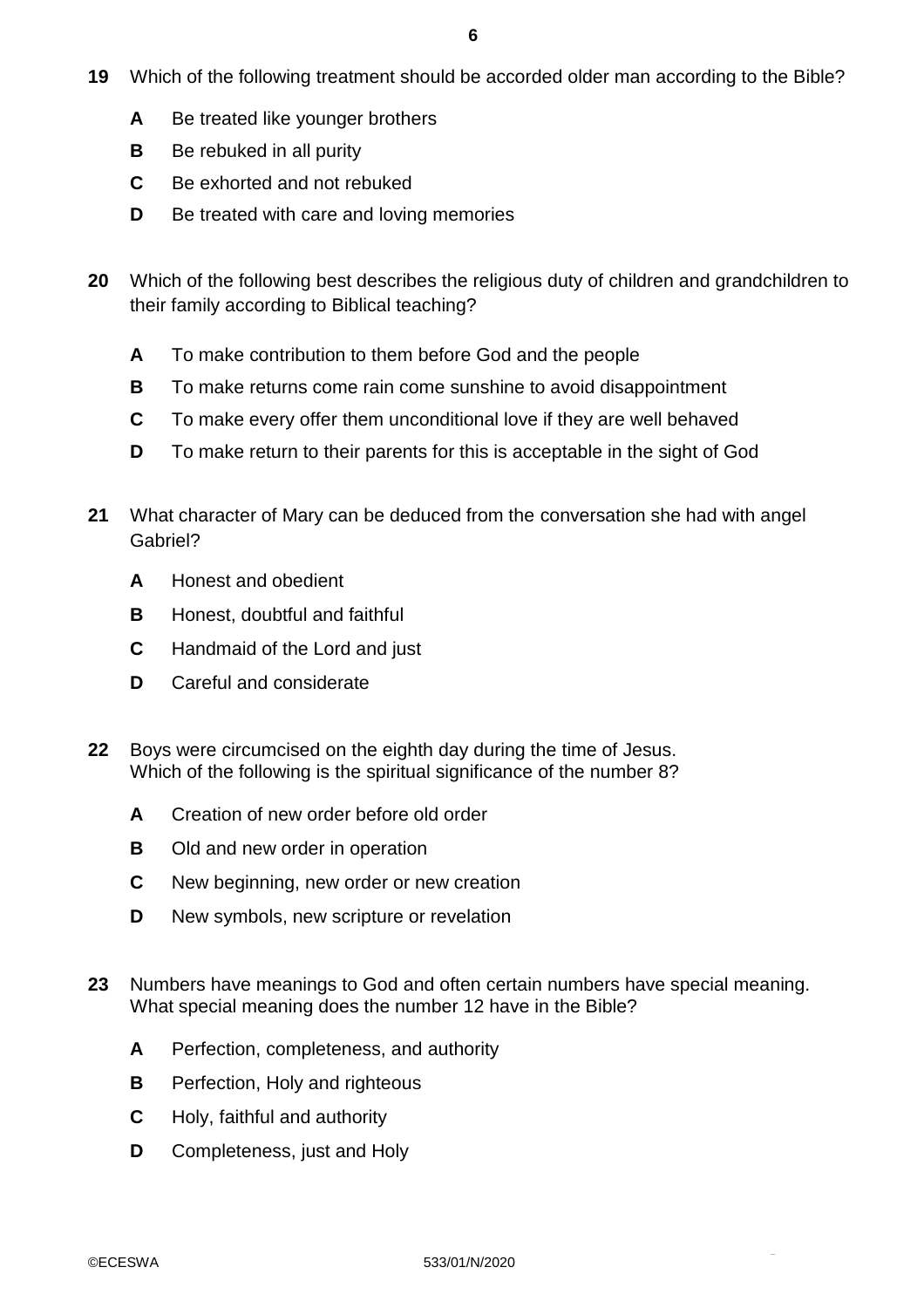- **19** Which of the following treatment should be accorded older man according to the Bible?
	- **A** Be treated like younger brothers
	- **B** Be rebuked in all purity
	- **C** Be exhorted and not rebuked
	- **D** Be treated with care and loving memories
- **20** Which of the following best describes the religious duty of children and grandchildren to their family according to Biblical teaching?
	- **A** To make contribution to them before God and the people
	- **B** To make returns come rain come sunshine to avoid disappointment
	- **C** To make every offer them unconditional love if they are well behaved
	- **D** To make return to their parents for this is acceptable in the sight of God
- **21** What character of Mary can be deduced from the conversation she had with angel Gabriel?
	- **A** Honest and obedient
	- **B** Honest, doubtful and faithful
	- **C** Handmaid of the Lord and just
	- **D** Careful and considerate
- **22** Boys were circumcised on the eighth day during the time of Jesus. Which of the following is the spiritual significance of the number 8?
	- **A** Creation of new order before old order
	- **B** Old and new order in operation
	- **C** New beginning, new order or new creation
	- **D** New symbols, new scripture or revelation
- **23** Numbers have meanings to God and often certain numbers have special meaning. What special meaning does the number 12 have in the Bible?
	- **A** Perfection, completeness, and authority
	- **B** Perfection, Holy and righteous
	- **C** Holy, faithful and authority
	- **D** Completeness, just and Holy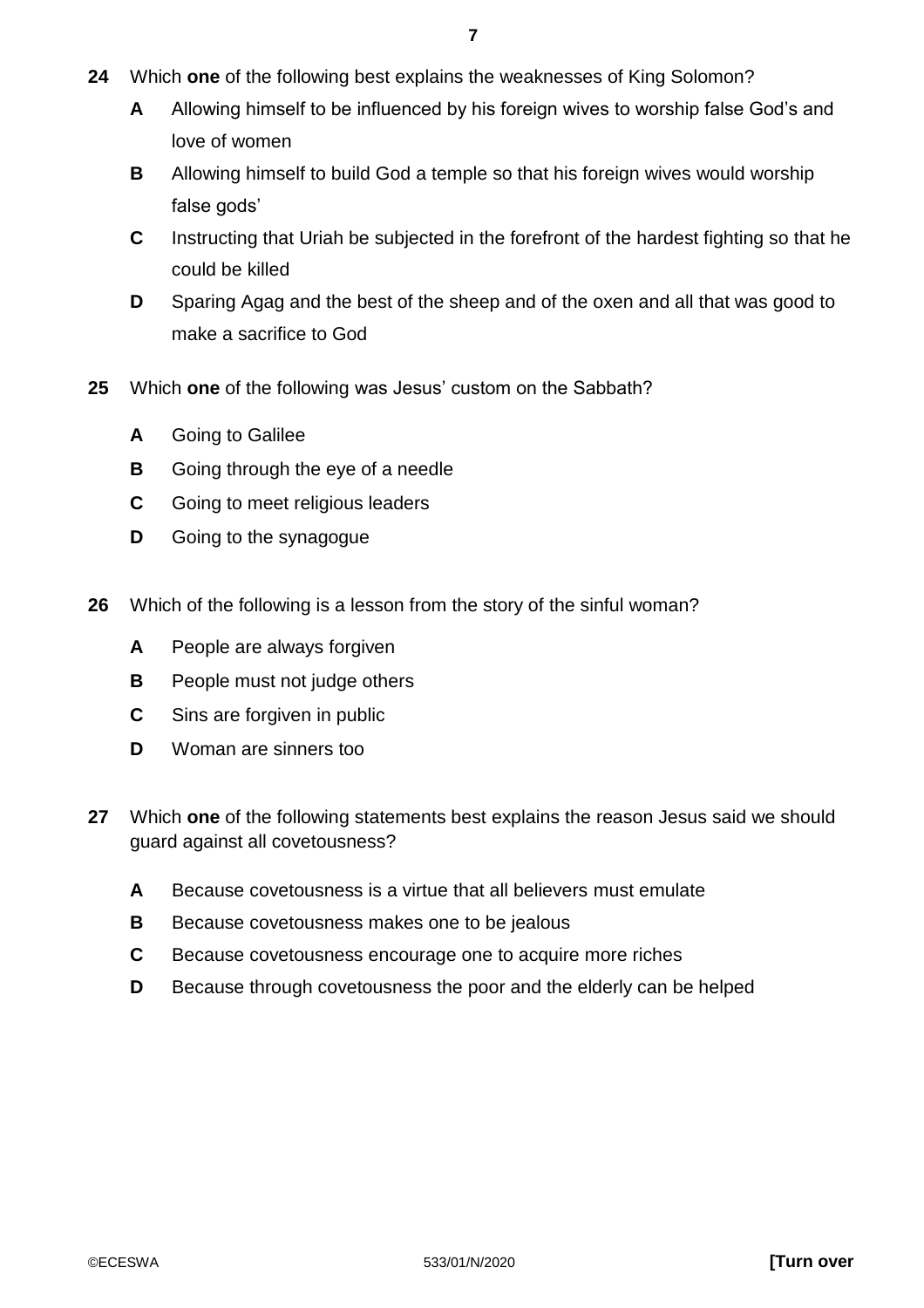- **24** Which **one** of the following best explains the weaknesses of King Solomon?
	- **A** Allowing himself to be influenced by his foreign wives to worship false God's and love of women
	- **B** Allowing himself to build God a temple so that his foreign wives would worship false gods'
	- **C** Instructing that Uriah be subjected in the forefront of the hardest fighting so that he could be killed
	- **D** Sparing Agag and the best of the sheep and of the oxen and all that was good to make a sacrifice to God
- **25** Which **one** of the following was Jesus' custom on the Sabbath?
	- **A** Going to Galilee
	- **B** Going through the eye of a needle
	- **C** Going to meet religious leaders
	- **D** Going to the synagogue
- **26** Which of the following is a lesson from the story of the sinful woman?
	- **A** People are always forgiven
	- **B** People must not judge others
	- **C** Sins are forgiven in public
	- **D** Woman are sinners too
- **27** Which **one** of the following statements best explains the reason Jesus said we should guard against all covetousness?
	- **A** Because covetousness is a virtue that all believers must emulate
	- **B** Because covetousness makes one to be jealous
	- **C** Because covetousness encourage one to acquire more riches
	- **D** Because through covetousness the poor and the elderly can be helped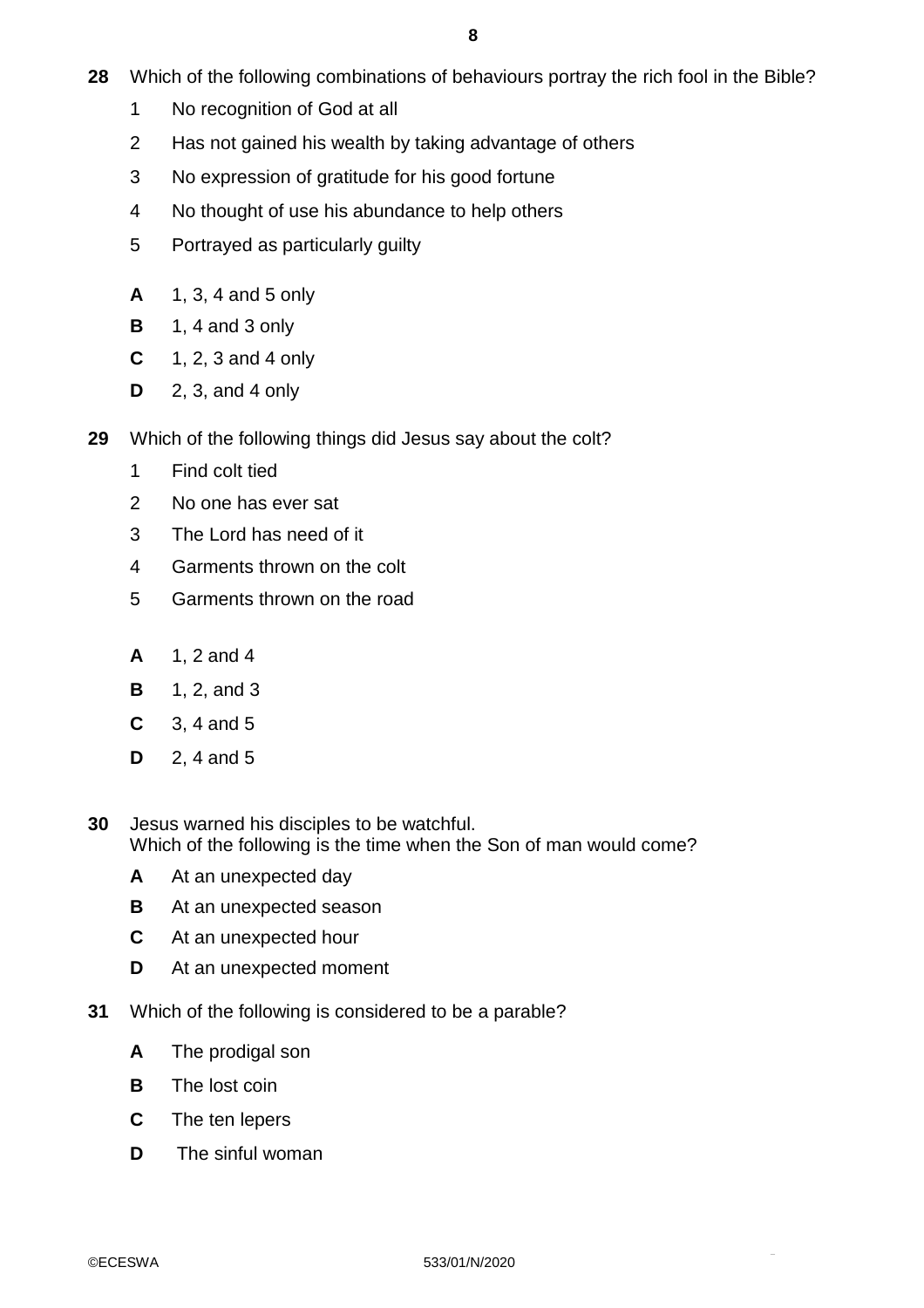- **28** Which of the following combinations of behaviours portray the rich fool in the Bible?
	- 1 No recognition of God at all
	- 2 Has not gained his wealth by taking advantage of others
	- 3 No expression of gratitude for his good fortune
	- 4 No thought of use his abundance to help others
	- 5 Portrayed as particularly guilty
	- **A** 1, 3, 4 and 5 only
	- **B** 1, 4 and 3 only
	- **C** 1, 2, 3 and 4 only
	- **D** 2, 3, and 4 only
- **29** Which of the following things did Jesus say about the colt?
	- 1 Find colt tied
	- 2 No one has ever sat
	- 3 The Lord has need of it
	- 4 Garments thrown on the colt
	- 5 Garments thrown on the road
	- **A** 1, 2 and 4
	- **B** 1, 2, and 3
	- **C** 3, 4 and 5
	- **D** 2, 4 and 5
- **30** Jesus warned his disciples to be watchful. Which of the following is the time when the Son of man would come?
	- **A** At an unexpected day
	- **B** At an unexpected season
	- **C** At an unexpected hour
	- **D** At an unexpected moment
- **31** Which of the following is considered to be a parable?
	- **A** The prodigal son
	- **B** The lost coin
	- **C** The ten lepers
	- **D** The sinful woman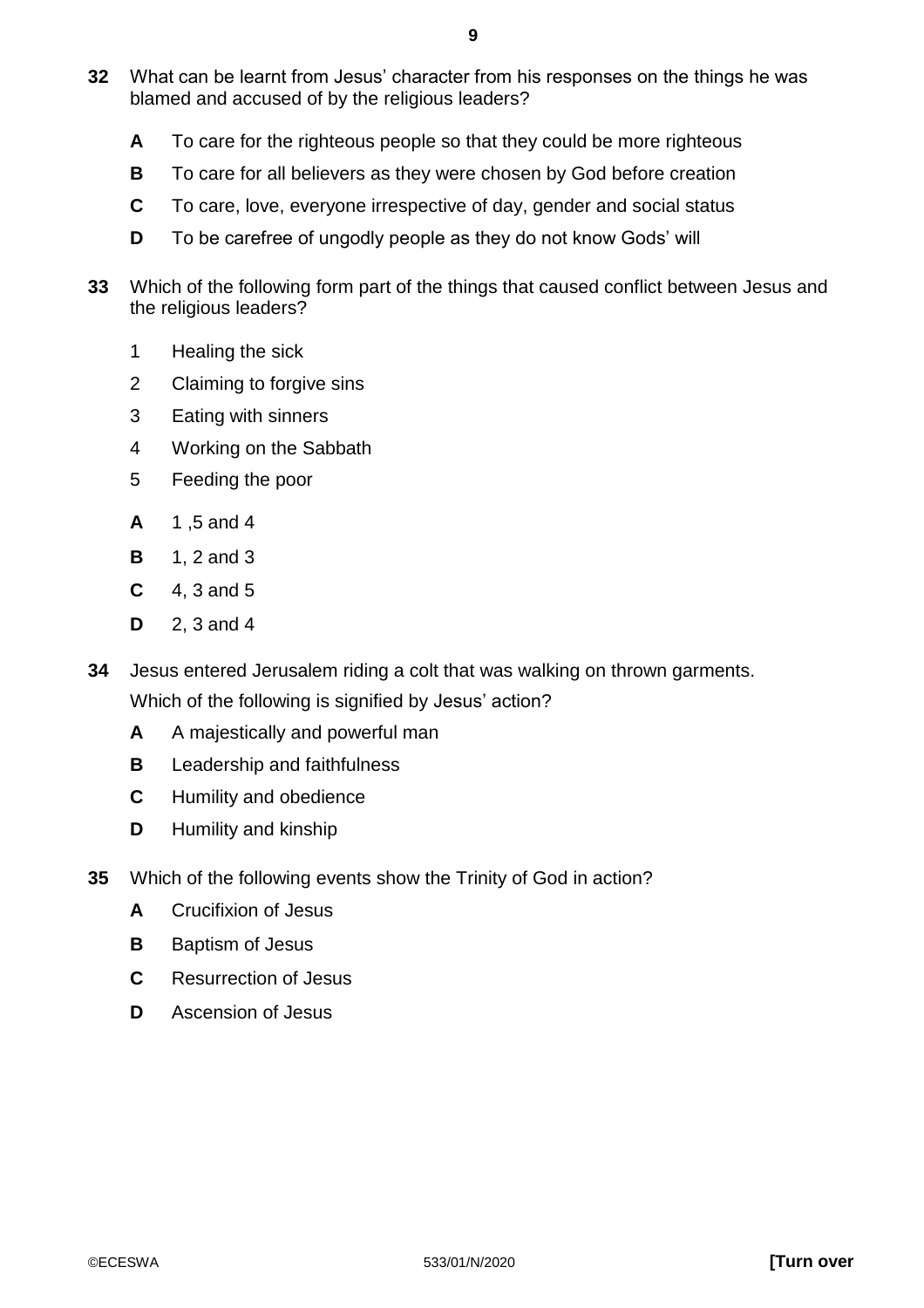- **32** What can be learnt from Jesus' character from his responses on the things he was blamed and accused of by the religious leaders?
	- **A** To care for the righteous people so that they could be more righteous
	- **B** To care for all believers as they were chosen by God before creation
	- **C** To care, love, everyone irrespective of day, gender and social status
	- **D** To be carefree of ungodly people as they do not know Gods' will
- **33** Which of the following form part of the things that caused conflict between Jesus and the religious leaders?
	- 1 Healing the sick
	- 2 Claiming to forgive sins
	- 3 Eating with sinners
	- 4 Working on the Sabbath
	- 5 Feeding the poor
	- **A** 1 ,5 and 4
	- **B** 1, 2 and 3
	- **C** 4, 3 and 5
	- **D** 2, 3 and 4
- **34** Jesus entered Jerusalem riding a colt that was walking on thrown garments. Which of the following is signified by Jesus' action?
	- **A** A majestically and powerful man
	- **B** Leadership and faithfulness
	- **C** Humility and obedience
	- **D** Humility and kinship
- **35** Which of the following events show the Trinity of God in action?
	- **A** Crucifixion of Jesus
	- **B** Baptism of Jesus
	- **C** Resurrection of Jesus
	- **D** Ascension of Jesus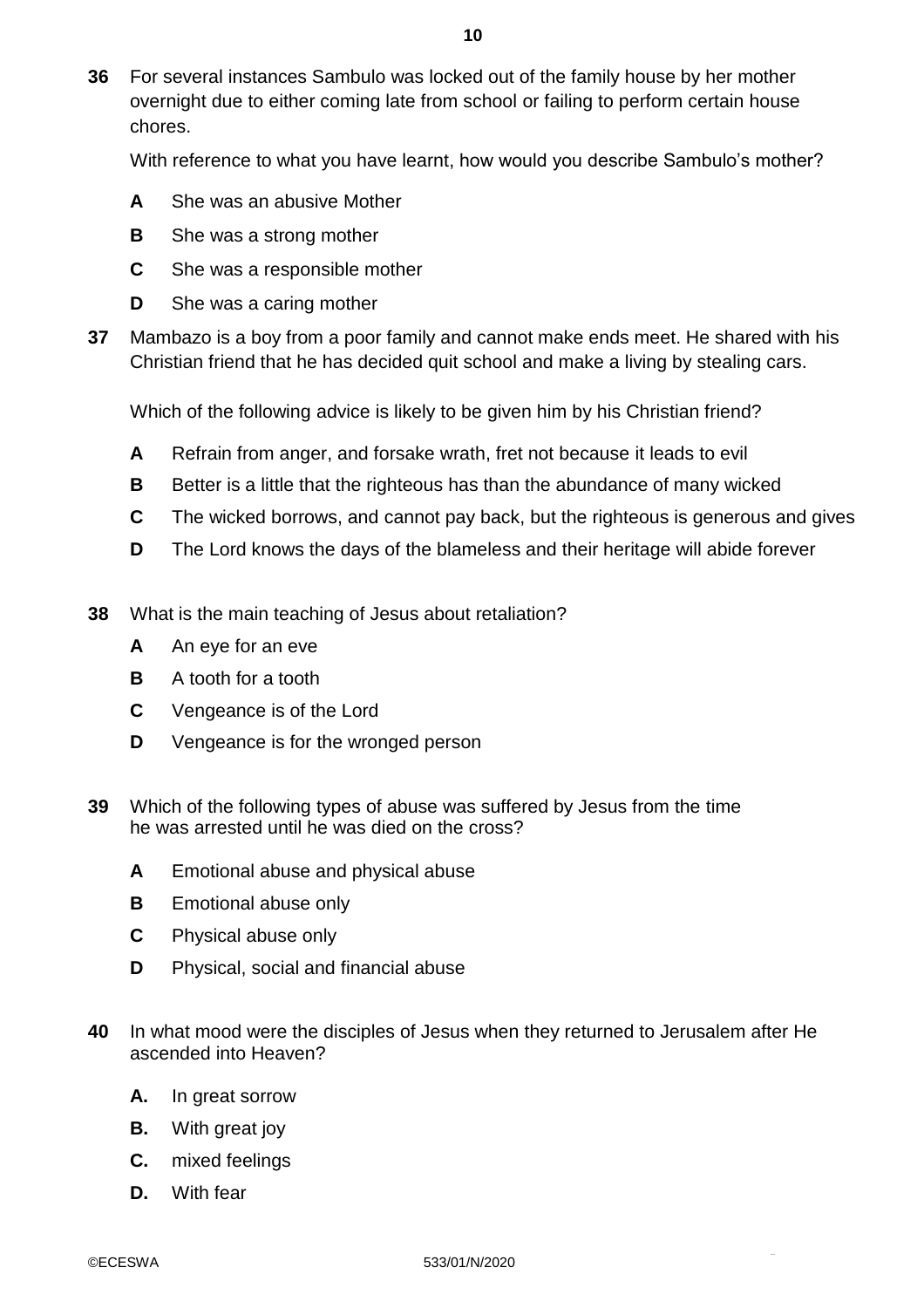**36** For several instances Sambulo was locked out of the family house by her mother overnight due to either coming late from school or failing to perform certain house chores.

With reference to what you have learnt, how would you describe Sambulo's mother?

- **A** She was an abusive Mother
- **B** She was a strong mother
- **C** She was a responsible mother
- **D** She was a caring mother
- **37** Mambazo is a boy from a poor family and cannot make ends meet. He shared with his Christian friend that he has decided quit school and make a living by stealing cars.

Which of the following advice is likely to be given him by his Christian friend?

- **A** Refrain from anger, and forsake wrath, fret not because it leads to evil
- **B** Better is a little that the righteous has than the abundance of many wicked
- **C** The wicked borrows, and cannot pay back, but the righteous is generous and gives
- **D** The Lord knows the days of the blameless and their heritage will abide forever
- **38** What is the main teaching of Jesus about retaliation?
	- **A** An eye for an eve
	- **B** A tooth for a tooth
	- **C** Vengeance is of the Lord
	- **D** Vengeance is for the wronged person
- **39** Which of the following types of abuse was suffered by Jesus from the time he was arrested until he was died on the cross?
	- **A** Emotional abuse and physical abuse
	- **B** Emotional abuse only
	- **C** Physical abuse only
	- **D** Physical, social and financial abuse
- **40** In what mood were the disciples of Jesus when they returned to Jerusalem after He ascended into Heaven?
	- **A.** In great sorrow
	- **B.** With great joy
	- **C.** mixed feelings
	- **D.** With fear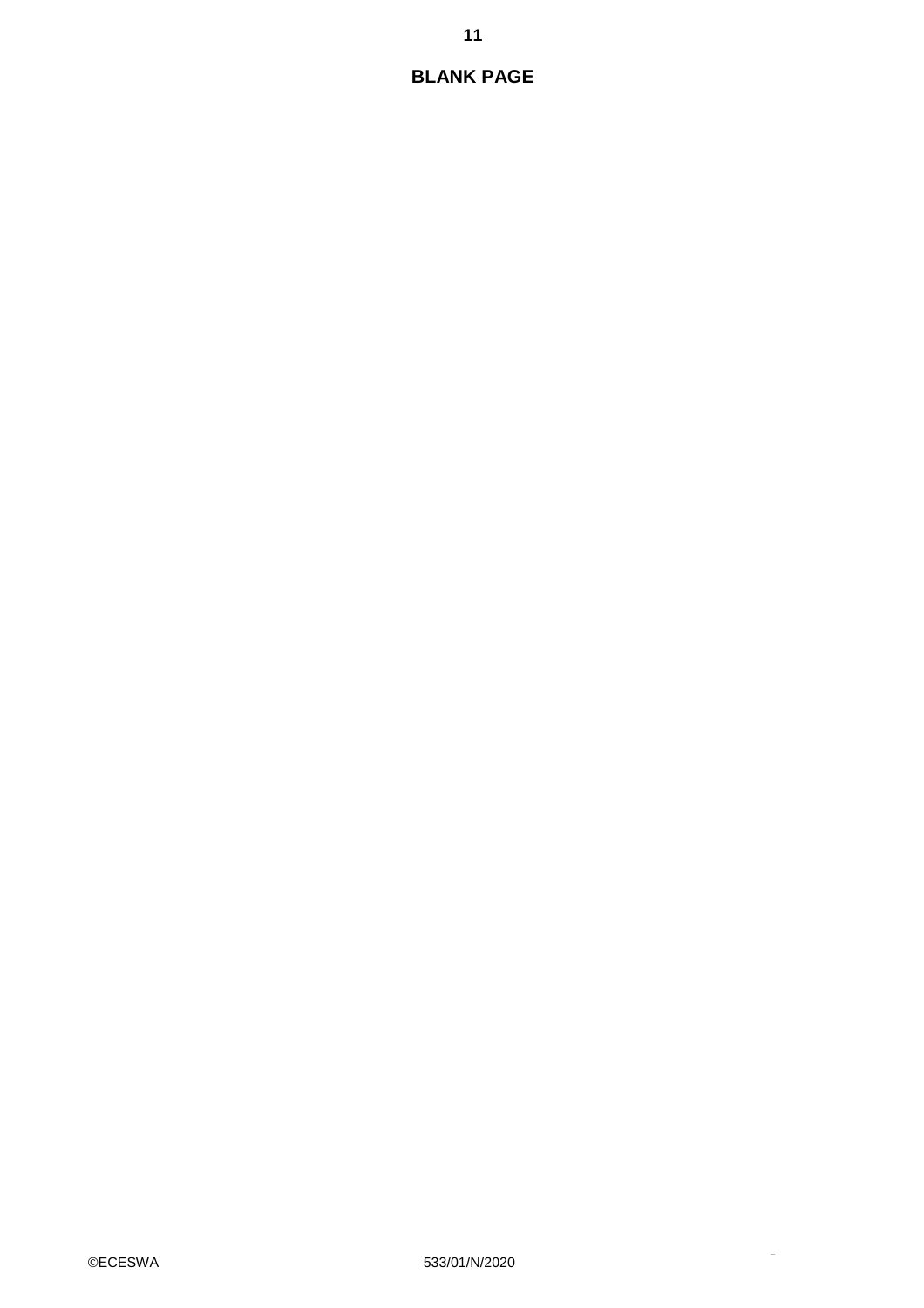## **BLANK PAGE**

**11**